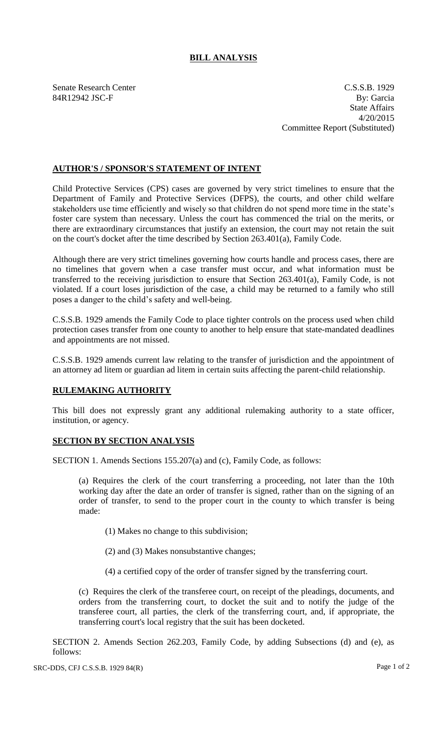## **BILL ANALYSIS**

Senate Research Center C.S.S.B. 1929 84R12942 JSC-F By: Garcia State Affairs 4/20/2015 Committee Report (Substituted)

## **AUTHOR'S / SPONSOR'S STATEMENT OF INTENT**

Child Protective Services (CPS) cases are governed by very strict timelines to ensure that the Department of Family and Protective Services (DFPS), the courts, and other child welfare stakeholders use time efficiently and wisely so that children do not spend more time in the state's foster care system than necessary. Unless the court has commenced the trial on the merits, or there are extraordinary circumstances that justify an extension, the court may not retain the suit on the court's docket after the time described by Section 263.401(a), Family Code.

Although there are very strict timelines governing how courts handle and process cases, there are no timelines that govern when a case transfer must occur, and what information must be transferred to the receiving jurisdiction to ensure that Section 263.401(a), Family Code, is not violated. If a court loses jurisdiction of the case, a child may be returned to a family who still poses a danger to the child's safety and well-being.

C.S.S.B. 1929 amends the Family Code to place tighter controls on the process used when child protection cases transfer from one county to another to help ensure that state-mandated deadlines and appointments are not missed.

C.S.S.B. 1929 amends current law relating to the transfer of jurisdiction and the appointment of an attorney ad litem or guardian ad litem in certain suits affecting the parent-child relationship.

## **RULEMAKING AUTHORITY**

This bill does not expressly grant any additional rulemaking authority to a state officer, institution, or agency.

## **SECTION BY SECTION ANALYSIS**

SECTION 1. Amends Sections 155.207(a) and (c), Family Code, as follows:

(a) Requires the clerk of the court transferring a proceeding, not later than the 10th working day after the date an order of transfer is signed, rather than on the signing of an order of transfer, to send to the proper court in the county to which transfer is being made:

(1) Makes no change to this subdivision;

(2) and (3) Makes nonsubstantive changes;

(4) a certified copy of the order of transfer signed by the transferring court.

(c) Requires the clerk of the transferee court, on receipt of the pleadings, documents, and orders from the transferring court, to docket the suit and to notify the judge of the transferee court, all parties, the clerk of the transferring court, and, if appropriate, the transferring court's local registry that the suit has been docketed.

SECTION 2. Amends Section 262.203, Family Code, by adding Subsections (d) and (e), as follows: